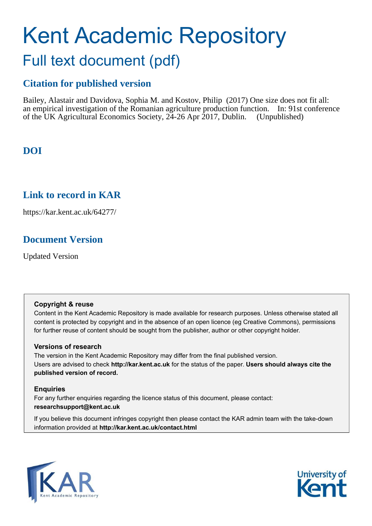# Kent Academic Repository Full text document (pdf)

## **Citation for published version**

Bailey, Alastair and Davidova, Sophia M. and Kostov, Philip (2017) One size does not fit all: an empirical investigation of the Romanian agriculture production function. In: 91st conference of the UK Agricultural Economics Society, 24-26 Apr 2017, Dublin. (Unpublished)

# **DOI**

### **Link to record in KAR**

https://kar.kent.ac.uk/64277/

### **Document Version**

Updated Version

### **Copyright & reuse**

Content in the Kent Academic Repository is made available for research purposes. Unless otherwise stated all content is protected by copyright and in the absence of an open licence (eg Creative Commons), permissions for further reuse of content should be sought from the publisher, author or other copyright holder.

### **Versions of research**

The version in the Kent Academic Repository may differ from the final published version. Users are advised to check **http://kar.kent.ac.uk** for the status of the paper. **Users should always cite the published version of record.**

### **Enquiries**

For any further enquiries regarding the licence status of this document, please contact: **researchsupport@kent.ac.uk**

If you believe this document infringes copyright then please contact the KAR admin team with the take-down information provided at **http://kar.kent.ac.uk/contact.html**



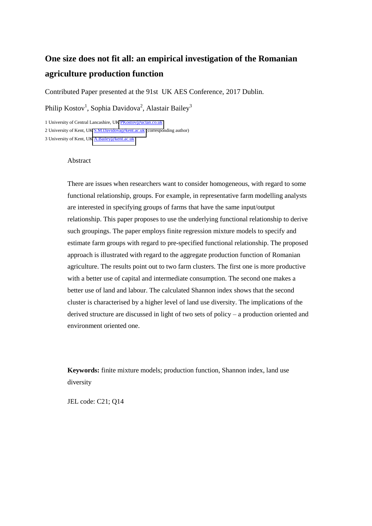# **One size does not fit all: an empirical investigation of the Romanian agriculture production function**

Contributed Paper presented at the 91st UK AES Conference, 2017 Dublin.

Philip Kostov<sup>1</sup>, Sophia Davidova<sup>2</sup>, Alastair Bailey<sup>3</sup>

1 University of Central Lancashire, U[K PKostov@uclan.co.uk](mailto:PKostov@uclan.co.uk)

2 University of Kent, U[K S.M.Davidova@kent.ac.uk \(](mailto:S.M.Davidova@kent.ac.uk)corresponding author)

3 University of Kent, U[K A.Bailey@kent.ac.uk](mailto:A.Bailey@kent.ac.uk)

#### Abstract

There are issues when researchers want to consider homogeneous, with regard to some functional relationship, groups. For example, in representative farm modelling analysts are interested in specifying groups of farms that have the same input/output relationship. This paper proposes to use the underlying functional relationship to derive such groupings. The paper employs finite regression mixture models to specify and estimate farm groups with regard to pre-specified functional relationship. The proposed approach is illustrated with regard to the aggregate production function of Romanian agriculture. The results point out to two farm clusters. The first one is more productive with a better use of capital and intermediate consumption. The second one makes a better use of land and labour. The calculated Shannon index shows that the second cluster is characterised by a higher level of land use diversity. The implications of the derived structure are discussed in light of two sets of policy – a production oriented and environment oriented one.

**Keywords:** finite mixture models; production function, Shannon index, land use diversity

JEL code: C21; Q14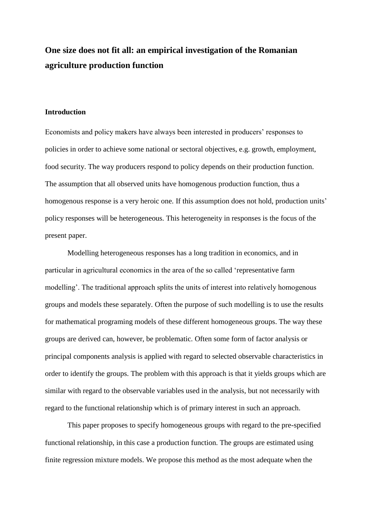# **One size does not fit all: an empirical investigation of the Romanian agriculture production function**

#### **Introduction**

Economists and policy makers have always been interested in producers' responses to policies in order to achieve some national or sectoral objectives, e.g. growth, employment, food security. The way producers respond to policy depends on their production function. The assumption that all observed units have homogenous production function, thus a homogenous response is a very heroic one. If this assumption does not hold, production units' policy responses will be heterogeneous. This heterogeneity in responses is the focus of the present paper.

Modelling heterogeneous responses has a long tradition in economics, and in particular in agricultural economics in the area of the so called 'representative farm modelling'. The traditional approach splits the units of interest into relatively homogenous groups and models these separately. Often the purpose of such modelling is to use the results for mathematical programing models of these different homogeneous groups. The way these groups are derived can, however, be problematic. Often some form of factor analysis or principal components analysis is applied with regard to selected observable characteristics in order to identify the groups. The problem with this approach is that it yields groups which are similar with regard to the observable variables used in the analysis, but not necessarily with regard to the functional relationship which is of primary interest in such an approach.

This paper proposes to specify homogeneous groups with regard to the pre-specified functional relationship, in this case a production function. The groups are estimated using finite regression mixture models. We propose this method as the most adequate when the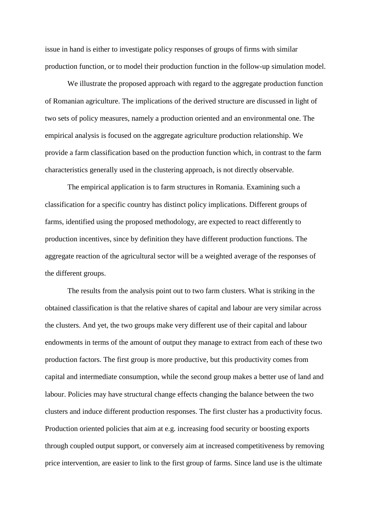issue in hand is either to investigate policy responses of groups of firms with similar production function, or to model their production function in the follow-up simulation model.

We illustrate the proposed approach with regard to the aggregate production function of Romanian agriculture. The implications of the derived structure are discussed in light of two sets of policy measures, namely a production oriented and an environmental one. The empirical analysis is focused on the aggregate agriculture production relationship. We provide a farm classification based on the production function which, in contrast to the farm characteristics generally used in the clustering approach, is not directly observable.

The empirical application is to farm structures in Romania. Examining such a classification for a specific country has distinct policy implications. Different groups of farms, identified using the proposed methodology, are expected to react differently to production incentives, since by definition they have different production functions. The aggregate reaction of the agricultural sector will be a weighted average of the responses of the different groups.

The results from the analysis point out to two farm clusters. What is striking in the obtained classification is that the relative shares of capital and labour are very similar across the clusters. And yet, the two groups make very different use of their capital and labour endowments in terms of the amount of output they manage to extract from each of these two production factors. The first group is more productive, but this productivity comes from capital and intermediate consumption, while the second group makes a better use of land and labour. Policies may have structural change effects changing the balance between the two clusters and induce different production responses. The first cluster has a productivity focus. Production oriented policies that aim at e.g. increasing food security or boosting exports through coupled output support, or conversely aim at increased competitiveness by removing price intervention, are easier to link to the first group of farms. Since land use is the ultimate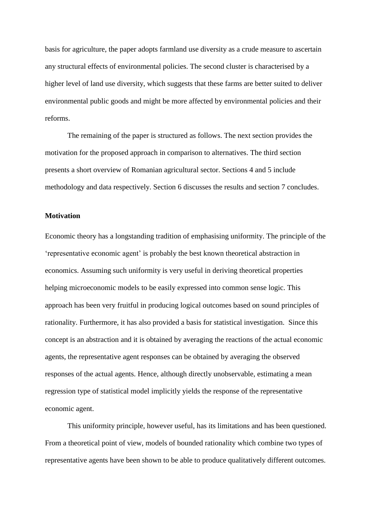basis for agriculture, the paper adopts farmland use diversity as a crude measure to ascertain any structural effects of environmental policies. The second cluster is characterised by a higher level of land use diversity, which suggests that these farms are better suited to deliver environmental public goods and might be more affected by environmental policies and their reforms.

The remaining of the paper is structured as follows. The next section provides the motivation for the proposed approach in comparison to alternatives. The third section presents a short overview of Romanian agricultural sector. Sections 4 and 5 include methodology and data respectively. Section 6 discusses the results and section 7 concludes.

#### **Motivation**

Economic theory has a longstanding tradition of emphasising uniformity. The principle of the 'representative economic agent' is probably the best known theoretical abstraction in economics. Assuming such uniformity is very useful in deriving theoretical properties helping microeconomic models to be easily expressed into common sense logic. This approach has been very fruitful in producing logical outcomes based on sound principles of rationality. Furthermore, it has also provided a basis for statistical investigation. Since this concept is an abstraction and it is obtained by averaging the reactions of the actual economic agents, the representative agent responses can be obtained by averaging the observed responses of the actual agents. Hence, although directly unobservable, estimating a mean regression type of statistical model implicitly yields the response of the representative economic agent.

This uniformity principle, however useful, has its limitations and has been questioned. From a theoretical point of view, models of bounded rationality which combine two types of representative agents have been shown to be able to produce qualitatively different outcomes.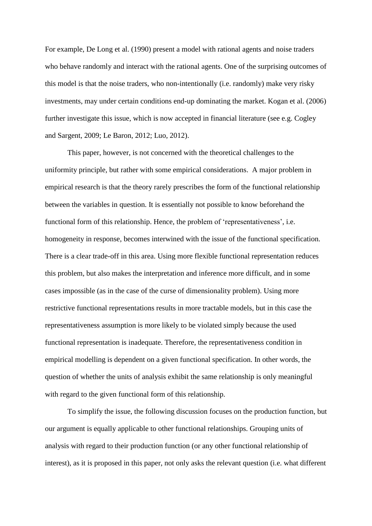For example, De Long et al. (1990) present a model with rational agents and noise traders who behave randomly and interact with the rational agents. One of the surprising outcomes of this model is that the noise traders, who non-intentionally (i.e. randomly) make very risky investments, may under certain conditions end-up dominating the market. Kogan et al. (2006) further investigate this issue, which is now accepted in financial literature (see e.g. Cogley and Sargent, 2009; Le Baron, 2012; Luo, 2012).

This paper, however, is not concerned with the theoretical challenges to the uniformity principle, but rather with some empirical considerations. A major problem in empirical research is that the theory rarely prescribes the form of the functional relationship between the variables in question. It is essentially not possible to know beforehand the functional form of this relationship. Hence, the problem of 'representativeness', i.e. homogeneity in response, becomes interwined with the issue of the functional specification. There is a clear trade-off in this area. Using more flexible functional representation reduces this problem, but also makes the interpretation and inference more difficult, and in some cases impossible (as in the case of the curse of dimensionality problem). Using more restrictive functional representations results in more tractable models, but in this case the representativeness assumption is more likely to be violated simply because the used functional representation is inadequate. Therefore, the representativeness condition in empirical modelling is dependent on a given functional specification. In other words, the question of whether the units of analysis exhibit the same relationship is only meaningful with regard to the given functional form of this relationship.

To simplify the issue, the following discussion focuses on the production function, but our argument is equally applicable to other functional relationships. Grouping units of analysis with regard to their production function (or any other functional relationship of interest), as it is proposed in this paper, not only asks the relevant question (i.e. what different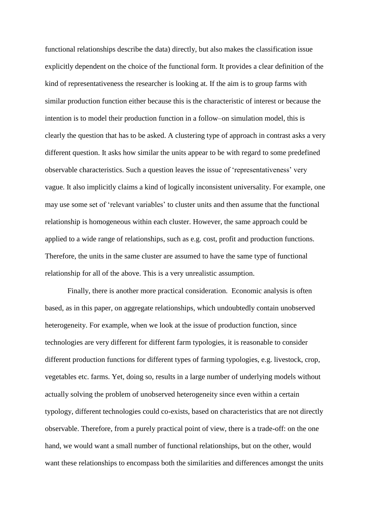functional relationships describe the data) directly, but also makes the classification issue explicitly dependent on the choice of the functional form. It provides a clear definition of the kind of representativeness the researcher is looking at. If the aim is to group farms with similar production function either because this is the characteristic of interest or because the intention is to model their production function in a follow–on simulation model, this is clearly the question that has to be asked. A clustering type of approach in contrast asks a very different question. It asks how similar the units appear to be with regard to some predefined observable characteristics. Such a question leaves the issue of 'representativeness' very vague. It also implicitly claims a kind of logically inconsistent universality. For example, one may use some set of 'relevant variables' to cluster units and then assume that the functional relationship is homogeneous within each cluster. However, the same approach could be applied to a wide range of relationships, such as e.g. cost, profit and production functions. Therefore, the units in the same cluster are assumed to have the same type of functional relationship for all of the above. This is a very unrealistic assumption.

Finally, there is another more practical consideration. Economic analysis is often based, as in this paper, on aggregate relationships, which undoubtedly contain unobserved heterogeneity. For example, when we look at the issue of production function, since technologies are very different for different farm typologies, it is reasonable to consider different production functions for different types of farming typologies, e.g. livestock, crop, vegetables etc. farms. Yet, doing so, results in a large number of underlying models without actually solving the problem of unobserved heterogeneity since even within a certain typology, different technologies could co-exists, based on characteristics that are not directly observable. Therefore, from a purely practical point of view, there is a trade-off: on the one hand, we would want a small number of functional relationships, but on the other, would want these relationships to encompass both the similarities and differences amongst the units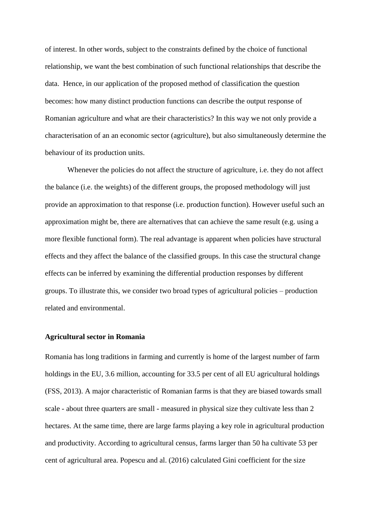of interest. In other words, subject to the constraints defined by the choice of functional relationship, we want the best combination of such functional relationships that describe the data. Hence, in our application of the proposed method of classification the question becomes: how many distinct production functions can describe the output response of Romanian agriculture and what are their characteristics? In this way we not only provide a characterisation of an an economic sector (agriculture), but also simultaneously determine the behaviour of its production units.

Whenever the policies do not affect the structure of agriculture, i.e. they do not affect the balance (i.e. the weights) of the different groups, the proposed methodology will just provide an approximation to that response (i.e. production function). However useful such an approximation might be, there are alternatives that can achieve the same result (e.g. using a more flexible functional form). The real advantage is apparent when policies have structural effects and they affect the balance of the classified groups. In this case the structural change effects can be inferred by examining the differential production responses by different groups. To illustrate this, we consider two broad types of agricultural policies – production related and environmental.

#### **Agricultural sector in Romania**

Romania has long traditions in farming and currently is home of the largest number of farm holdings in the EU, 3.6 million, accounting for 33.5 per cent of all EU agricultural holdings (FSS, 2013). A major characteristic of Romanian farms is that they are biased towards small scale - about three quarters are small - measured in physical size they cultivate less than 2 hectares. At the same time, there are large farms playing a key role in agricultural production and productivity. According to agricultural census, farms larger than 50 ha cultivate 53 per cent of agricultural area. Popescu and al. (2016) calculated Gini coefficient for the size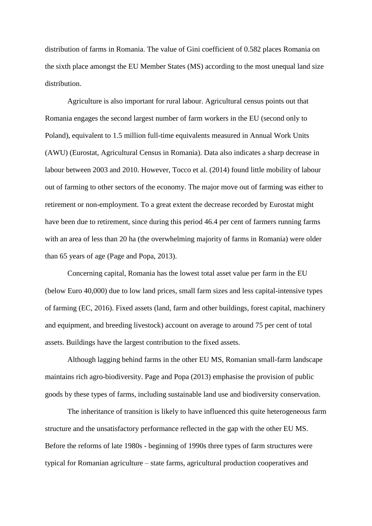distribution of farms in Romania. The value of Gini coefficient of 0.582 places Romania on the sixth place amongst the EU Member States (MS) according to the most unequal land size distribution.

Agriculture is also important for rural labour. Agricultural census points out that Romania engages the second largest number of farm workers in the EU (second only to Poland), equivalent to 1.5 million full-time equivalents measured in Annual Work Units (AWU) (Eurostat, Agricultural Census in Romania). Data also indicates a sharp decrease in labour between 2003 and 2010. However, Tocco et al. (2014) found little mobility of labour out of farming to other sectors of the economy. The major move out of farming was either to retirement or non-employment. To a great extent the decrease recorded by Eurostat might have been due to retirement, since during this period 46.4 per cent of farmers running farms with an area of less than 20 ha (the overwhelming majority of farms in Romania) were older than 65 years of age (Page and Popa, 2013).

Concerning capital, Romania has the lowest total asset value per farm in the EU (below Euro 40,000) due to low land prices, small farm sizes and less capital-intensive types of farming (EC, 2016). Fixed assets (land, farm and other buildings, forest capital, machinery and equipment, and breeding livestock) account on average to around 75 per cent of total assets. Buildings have the largest contribution to the fixed assets.

Although lagging behind farms in the other EU MS, Romanian small-farm landscape maintains rich agro-biodiversity. Page and Popa (2013) emphasise the provision of public goods by these types of farms, including sustainable land use and biodiversity conservation.

The inheritance of transition is likely to have influenced this quite heterogeneous farm structure and the unsatisfactory performance reflected in the gap with the other EU MS. Before the reforms of late 1980s - beginning of 1990s three types of farm structures were typical for Romanian agriculture – state farms, agricultural production cooperatives and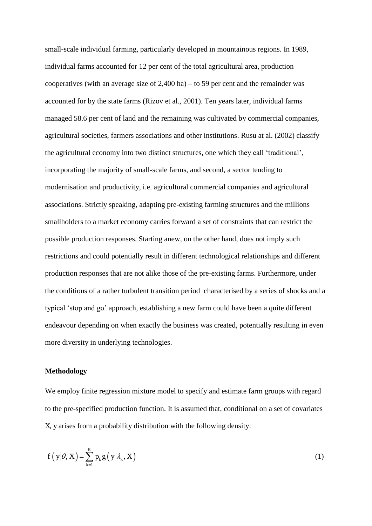small-scale individual farming, particularly developed in mountainous regions. In 1989, individual farms accounted for 12 per cent of the total agricultural area, production cooperatives (with an average size of 2,400 ha) – to 59 per cent and the remainder was accounted for by the state farms (Rizov et al., 2001). Ten years later, individual farms managed 58.6 per cent of land and the remaining was cultivated by commercial companies, agricultural societies, farmers associations and other institutions. Rusu at al. (2002) classify the agricultural economy into two distinct structures, one which they call 'traditional', incorporating the majority of small-scale farms, and second, a sector tending to modernisation and productivity, i.e. agricultural commercial companies and agricultural associations. Strictly speaking, adapting pre-existing farming structures and the millions smallholders to a market economy carries forward a set of constraints that can restrict the possible production responses. Starting anew, on the other hand, does not imply such restrictions and could potentially result in different technological relationships and different production responses that are not alike those of the pre-existing farms. Furthermore, under the conditions of a rather turbulent transition period characterised by a series of shocks and a typical 'stop and go' approach, establishing a new farm could have been a quite different endeavour depending on when exactly the business was created, potentially resulting in even more diversity in underlying technologies.

#### **Methodology**

We employ finite regression mixture model to specify and estimate farm groups with regard to the pre-specified production function. It is assumed that, conditional on a set of covariates X, y arises from a probability distribution with the following density:

$$
f(y|\theta, X) = \sum_{k=1}^{K} p_k g(y|\lambda_k, X)
$$
 (1)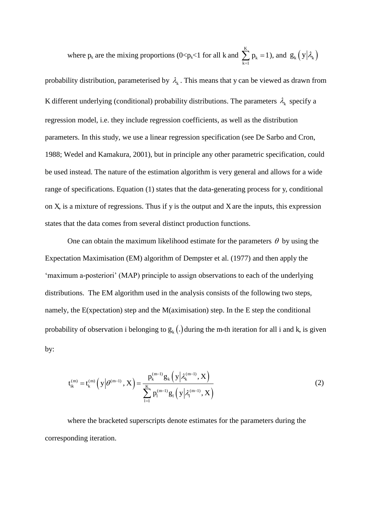where 
$$
p_k
$$
 are the mixing proportions (0< $p_k$ <1 for all k and  $\sum_{k=1}^{K} p_k = 1$ ), and  $g_k(y|\lambda_k)$ 

probability distribution, parameterised by  $\lambda_k$ . This means that y can be viewed as drawn from K different underlying (conditional) probability distributions. The parameters  $\lambda_k$  specify a regression model, i.e. they include regression coefficients, as well as the distribution parameters. In this study, we use a linear regression specification (see De Sarbo and Cron, 1988; Wedel and Kamakura, 2001), but in principle any other parametric specification, could be used instead. The nature of the estimation algorithm is very general and allows for a wide range of specifications. Equation (1) states that the data-generating process for y, conditional on X, is a mixture of regressions. Thus if y is the output and X are the inputs, this expression states that the data comes from several distinct production functions.

One can obtain the maximum likelihood estimate for the parameters  $\theta$  by using the Expectation Maximisation (EM) algorithm of Dempster et al. (1977) and then apply the 'maximum a-posteriori' (MAP) principle to assign observations to each of the underlying distributions. The EM algorithm used in the analysis consists of the following two steps, namely, the E(xpectation) step and the M(aximisation) step. In the E step the conditional probability of observation i belonging to  $g_k(.)$  during the m-th iteration for all i and k, is given by:

$$
t_{ik}^{(m)} = t_k^{(m)}\left(y\Big|\theta^{(m-1)}, X\right) = \frac{p_k^{(m-1)}g_k\left(y\Big|\lambda_k^{(m-1)}, X\right)}{\sum_{l=1}^K p_l^{(m-l)}g_l\left(y\Big|\lambda_l^{(m-l)}, X\right)}
$$
(2)

where the bracketed superscripts denote estimates for the parameters during the corresponding iteration.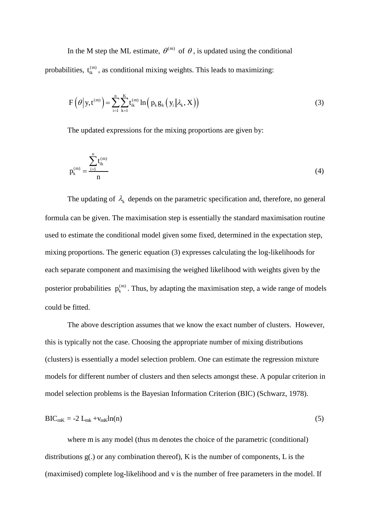In the M step the ML estimate,  $\theta^{(m)}$  of  $\theta$ , is updated using the conditional probabilities,  $t_{ik}^{(m)}$ , as conditional mixing weights. This leads to maximizing:

$$
F\left(\theta\middle|y,t^{(m)}\right) = \sum_{i=1}^{n} \sum_{k=1}^{K} t_{ik}^{(m)} \ln\left(p_k g_k\left(y_i \middle| \lambda_k, X\right)\right)
$$
(3)

The updated expressions for the mixing proportions are given by:

$$
p_k^{(m)} = \frac{\sum_{i=1}^{n} t_{ik}^{(m)}}{n}
$$
 (4)

The updating of  $\lambda_k$  depends on the parametric specification and, therefore, no general formula can be given. The maximisation step is essentially the standard maximisation routine used to estimate the conditional model given some fixed, determined in the expectation step, mixing proportions. The generic equation (3) expresses calculating the log-likelihoods for each separate component and maximising the weighed likelihood with weights given by the posterior probabilities  $p_k^{(m)}$ . Thus, by adapting the maximisation step, a wide range of models could be fitted.

The above description assumes that we know the exact number of clusters. However, this is typically not the case. Choosing the appropriate number of mixing distributions (clusters) is essentially a model selection problem. One can estimate the regression mixture models for different number of clusters and then selects amongst these. A popular criterion in model selection problems is the Bayesian Information Criterion (BIC) (Schwarz, 1978).

$$
BIC_{mK} = -2 L_{mk} + v_{mK} ln(n) \tag{5}
$$

where m is any model (thus m denotes the choice of the parametric (conditional) distributions g(.) or any combination thereof), K is the number of components, L is the (maximised) complete log-likelihood and v is the number of free parameters in the model. If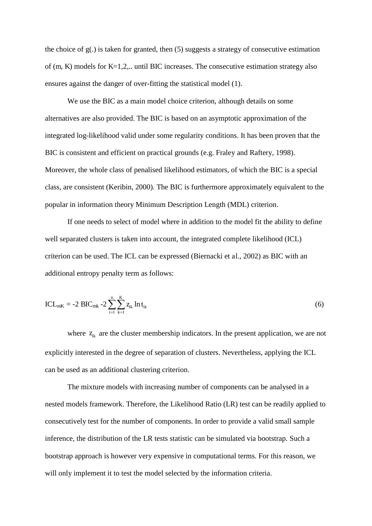the choice of  $g(.)$  is taken for granted, then  $(5)$  suggests a strategy of consecutive estimation of (m, K) models for K=1,2,.. until BIC increases. The consecutive estimation strategy also ensures against the danger of over-fitting the statistical model (1).

We use the BIC as a main model choice criterion, although details on some alternatives are also provided. The BIC is based on an asymptotic approximation of the integrated log-likelihood valid under some regularity conditions. It has been proven that the BIC is consistent and efficient on practical grounds (e.g. Fraley and Raftery, 1998). Moreover, the whole class of penalised likelihood estimators, of which the BIC is a special class, are consistent (Keribin, 2000). The BIC is furthermore approximately equivalent to the popular in information theory Minimum Description Length (MDL) criterion.

If one needs to select of model where in addition to the model fit the ability to define well separated clusters is taken into account, the integrated complete likelihood (ICL) criterion can be used. The ICL can be expressed (Biernacki et al., 2002) as BIC with an additional entropy penalty term as follows:

$$
ICL_{mK} = -2 BIC_{mk} - 2 \sum_{i=1}^{n} \sum_{k=1}^{K} z_{ik} \ln t_{ik}
$$
 (6)

where  $z_{ik}$  are the cluster membership indicators. In the present application, we are not explicitly interested in the degree of separation of clusters. Nevertheless, applying the ICL can be used as an additional clustering criterion.

The mixture models with increasing number of components can be analysed in a nested models framework. Therefore, the Likelihood Ratio (LR) test can be readily applied to consecutively test for the number of components. In order to provide a valid small sample inference, the distribution of the LR tests statistic can be simulated via bootstrap. Such a bootstrap approach is however very expensive in computational terms. For this reason, we will only implement it to test the model selected by the information criteria.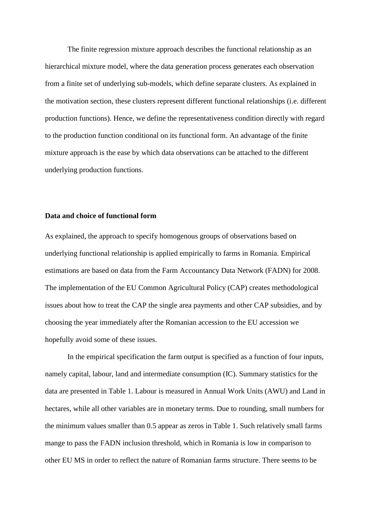The finite regression mixture approach describes the functional relationship as an hierarchical mixture model, where the data generation process generates each observation from a finite set of underlying sub-models, which define separate clusters. As explained in the motivation section, these clusters represent different functional relationships (i.e. different production functions). Hence, we define the representativeness condition directly with regard to the production function conditional on its functional form. An advantage of the finite mixture approach is the ease by which data observations can be attached to the different underlying production functions.

#### **Data and choice of functional form**

As explained, the approach to specify homogenous groups of observations based on underlying functional relationship is applied empirically to farms in Romania. Empirical estimations are based on data from the Farm Accountancy Data Network (FADN) for 2008. The implementation of the EU Common Agricultural Policy (CAP) creates methodological issues about how to treat the CAP the single area payments and other CAP subsidies, and by choosing the year immediately after the Romanian accession to the EU accession we hopefully avoid some of these issues.

In the empirical specification the farm output is specified as a function of four inputs, namely capital, labour, land and intermediate consumption (IC). Summary statistics for the data are presented in Table 1. Labour is measured in Annual Work Units (AWU) and Land in hectares, while all other variables are in monetary terms. Due to rounding, small numbers for the minimum values smaller than 0.5 appear as zeros in Table 1. Such relatively small farms mange to pass the FADN inclusion threshold, which in Romania is low in comparison to other EU MS in order to reflect the nature of Romanian farms structure. There seems to be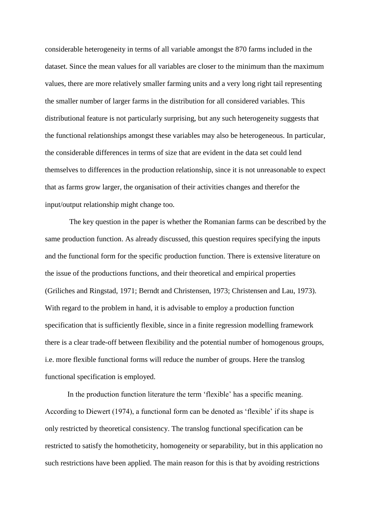considerable heterogeneity in terms of all variable amongst the 870 farms included in the dataset. Since the mean values for all variables are closer to the minimum than the maximum values, there are more relatively smaller farming units and a very long right tail representing the smaller number of larger farms in the distribution for all considered variables. This distributional feature is not particularly surprising, but any such heterogeneity suggests that the functional relationships amongst these variables may also be heterogeneous. In particular, the considerable differences in terms of size that are evident in the data set could lend themselves to differences in the production relationship, since it is not unreasonable to expect that as farms grow larger, the organisation of their activities changes and therefor the input/output relationship might change too.

 The key question in the paper is whether the Romanian farms can be described by the same production function. As already discussed, this question requires specifying the inputs and the functional form for the specific production function. There is extensive literature on the issue of the productions functions, and their theoretical and empirical properties (Griliches and Ringstad, 1971; Berndt and Christensen, 1973; Christensen and Lau, 1973). With regard to the problem in hand, it is advisable to employ a production function specification that is sufficiently flexible, since in a finite regression modelling framework there is a clear trade-off between flexibility and the potential number of homogenous groups, i.e. more flexible functional forms will reduce the number of groups. Here the translog functional specification is employed.

In the production function literature the term 'flexible' has a specific meaning. According to Diewert (1974), a functional form can be denoted as 'flexible' if its shape is only restricted by theoretical consistency. The translog functional specification can be restricted to satisfy the homotheticity, homogeneity or separability, but in this application no such restrictions have been applied. The main reason for this is that by avoiding restrictions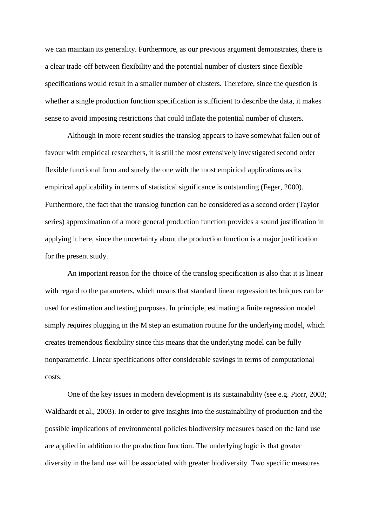we can maintain its generality. Furthermore, as our previous argument demonstrates, there is a clear trade-off between flexibility and the potential number of clusters since flexible specifications would result in a smaller number of clusters. Therefore, since the question is whether a single production function specification is sufficient to describe the data, it makes sense to avoid imposing restrictions that could inflate the potential number of clusters.

Although in more recent studies the translog appears to have somewhat fallen out of favour with empirical researchers, it is still the most extensively investigated second order flexible functional form and surely the one with the most empirical applications as its empirical applicability in terms of statistical significance is outstanding (Feger, 2000). Furthermore, the fact that the translog function can be considered as a second order (Taylor series) approximation of a more general production function provides a sound justification in applying it here, since the uncertainty about the production function is a major justification for the present study.

An important reason for the choice of the translog specification is also that it is linear with regard to the parameters, which means that standard linear regression techniques can be used for estimation and testing purposes. In principle, estimating a finite regression model simply requires plugging in the M step an estimation routine for the underlying model, which creates tremendous flexibility since this means that the underlying model can be fully nonparametric. Linear specifications offer considerable savings in terms of computational costs.

One of the key issues in modern development is its sustainability (see e.g. Piorr, 2003; Waldhardt et al., 2003). In order to give insights into the sustainability of production and the possible implications of environmental policies biodiversity measures based on the land use are applied in addition to the production function. The underlying logic is that greater diversity in the land use will be associated with greater biodiversity. Two specific measures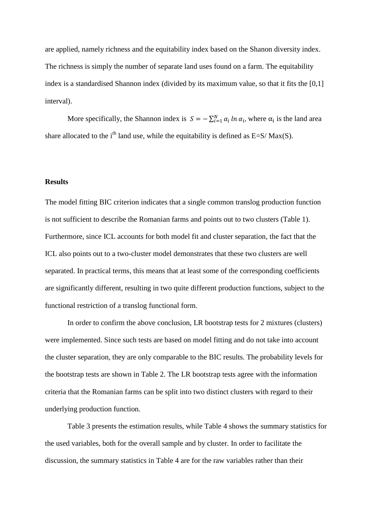are applied, namely richness and the equitability index based on the Shanon diversity index. The richness is simply the number of separate land uses found on a farm. The equitability index is a standardised Shannon index (divided by its maximum value, so that it fits the [0,1] interval).

More specifically, the Shannon index is  $S = -\sum_{i=1}^{N} \alpha_i \ln \alpha_i$ , where  $\alpha_i$  is the land area share allocated to the i<sup>th</sup> land use, while the equitability is defined as  $E=S/Max(S)$ .

#### **Results**

The model fitting BIC criterion indicates that a single common translog production function is not sufficient to describe the Romanian farms and points out to two clusters (Table 1). Furthermore, since ICL accounts for both model fit and cluster separation, the fact that the ICL also points out to a two-cluster model demonstrates that these two clusters are well separated. In practical terms, this means that at least some of the corresponding coefficients are significantly different, resulting in two quite different production functions, subject to the functional restriction of a translog functional form.

In order to confirm the above conclusion, LR bootstrap tests for 2 mixtures (clusters) were implemented. Since such tests are based on model fitting and do not take into account the cluster separation, they are only comparable to the BIC results. The probability levels for the bootstrap tests are shown in Table 2. The LR bootstrap tests agree with the information criteria that the Romanian farms can be split into two distinct clusters with regard to their underlying production function.

Table 3 presents the estimation results, while Table 4 shows the summary statistics for the used variables, both for the overall sample and by cluster. In order to facilitate the discussion, the summary statistics in Table 4 are for the raw variables rather than their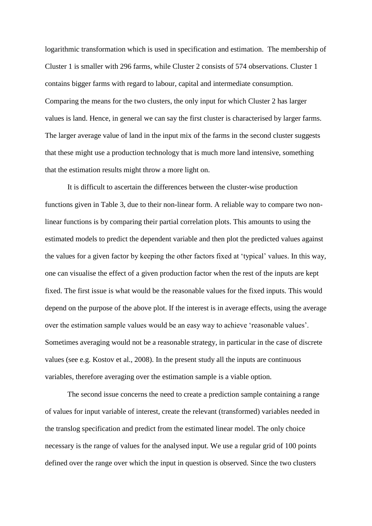logarithmic transformation which is used in specification and estimation. The membership of Cluster 1 is smaller with 296 farms, while Cluster 2 consists of 574 observations. Cluster 1 contains bigger farms with regard to labour, capital and intermediate consumption. Comparing the means for the two clusters, the only input for which Cluster 2 has larger values is land. Hence, in general we can say the first cluster is characterised by larger farms. The larger average value of land in the input mix of the farms in the second cluster suggests that these might use a production technology that is much more land intensive, something that the estimation results might throw a more light on.

It is difficult to ascertain the differences between the cluster-wise production functions given in Table 3, due to their non-linear form. A reliable way to compare two nonlinear functions is by comparing their partial correlation plots. This amounts to using the estimated models to predict the dependent variable and then plot the predicted values against the values for a given factor by keeping the other factors fixed at 'typical' values. In this way, one can visualise the effect of a given production factor when the rest of the inputs are kept fixed. The first issue is what would be the reasonable values for the fixed inputs. This would depend on the purpose of the above plot. If the interest is in average effects, using the average over the estimation sample values would be an easy way to achieve 'reasonable values'. Sometimes averaging would not be a reasonable strategy, in particular in the case of discrete values (see e.g. Kostov et al., 2008). In the present study all the inputs are continuous variables, therefore averaging over the estimation sample is a viable option.

The second issue concerns the need to create a prediction sample containing a range of values for input variable of interest, create the relevant (transformed) variables needed in the translog specification and predict from the estimated linear model. The only choice necessary is the range of values for the analysed input. We use a regular grid of 100 points defined over the range over which the input in question is observed. Since the two clusters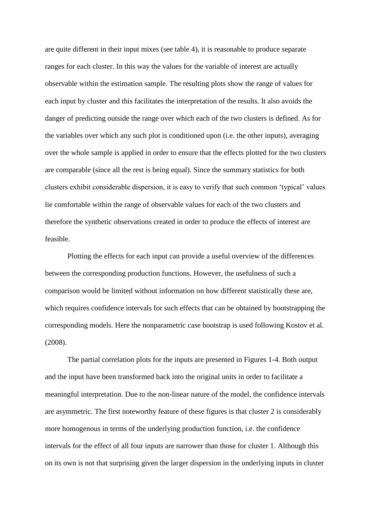are quite different in their input mixes (see table 4), it is reasonable to produce separate ranges for each cluster. In this way the values for the variable of interest are actually observable within the estimation sample. The resulting plots show the range of values for each input by cluster and this facilitates the interpretation of the results. It also avoids the danger of predicting outside the range over which each of the two clusters is defined. As for the variables over which any such plot is conditioned upon (i.e. the other inputs), averaging over the whole sample is applied in order to ensure that the effects plotted for the two clusters are comparable (since all the rest is being equal). Since the summary statistics for both clusters exhibit considerable dispersion, it is easy to verify that such common 'typical' values lie comfortable within the range of observable values for each of the two clusters and therefore the synthetic observations created in order to produce the effects of interest are feasible.

Plotting the effects for each input can provide a useful overview of the differences between the corresponding production functions. However, the usefulness of such a comparison would be limited without information on how different statistically these are, which requires confidence intervals for such effects that can be obtained by bootstrapping the corresponding models. Here the nonparametric case bootstrap is used following Kostov et al. (2008).

The partial correlation plots for the inputs are presented in Figures 1-4. Both output and the input have been transformed back into the original units in order to facilitate a meaningful interpretation. Due to the non-linear nature of the model, the confidence intervals are asymmetric. The first noteworthy feature of these figures is that cluster 2 is considerably more homogenous in terms of the underlying production function, i.e. the confidence intervals for the effect of all four inputs are narrower than those for cluster 1. Although this on its own is not that surprising given the larger dispersion in the underlying inputs in cluster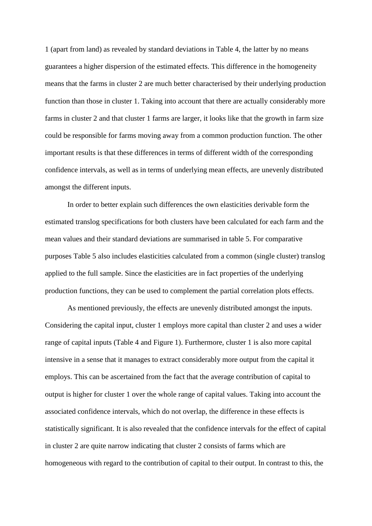1 (apart from land) as revealed by standard deviations in Table 4, the latter by no means guarantees a higher dispersion of the estimated effects. This difference in the homogeneity means that the farms in cluster 2 are much better characterised by their underlying production function than those in cluster 1. Taking into account that there are actually considerably more farms in cluster 2 and that cluster 1 farms are larger, it looks like that the growth in farm size could be responsible for farms moving away from a common production function. The other important results is that these differences in terms of different width of the corresponding confidence intervals, as well as in terms of underlying mean effects, are unevenly distributed amongst the different inputs.

In order to better explain such differences the own elasticities derivable form the estimated translog specifications for both clusters have been calculated for each farm and the mean values and their standard deviations are summarised in table 5. For comparative purposes Table 5 also includes elasticities calculated from a common (single cluster) translog applied to the full sample. Since the elasticities are in fact properties of the underlying production functions, they can be used to complement the partial correlation plots effects.

As mentioned previously, the effects are unevenly distributed amongst the inputs. Considering the capital input, cluster 1 employs more capital than cluster 2 and uses a wider range of capital inputs (Table 4 and Figure 1). Furthermore, cluster 1 is also more capital intensive in a sense that it manages to extract considerably more output from the capital it employs. This can be ascertained from the fact that the average contribution of capital to output is higher for cluster 1 over the whole range of capital values. Taking into account the associated confidence intervals, which do not overlap, the difference in these effects is statistically significant. It is also revealed that the confidence intervals for the effect of capital in cluster 2 are quite narrow indicating that cluster 2 consists of farms which are homogeneous with regard to the contribution of capital to their output. In contrast to this, the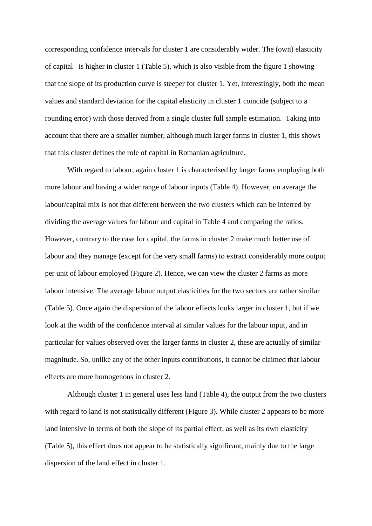corresponding confidence intervals for cluster 1 are considerably wider. The (own) elasticity of capital is higher in cluster 1 (Table 5), which is also visible from the figure 1 showing that the slope of its production curve is steeper for cluster 1. Yet, interestingly, both the mean values and standard deviation for the capital elasticity in cluster 1 coincide (subject to a rounding error) with those derived from a single cluster full sample estimation. Taking into account that there are a smaller number, although much larger farms in cluster 1, this shows that this cluster defines the role of capital in Romanian agriculture.

With regard to labour, again cluster 1 is characterised by larger farms employing both more labour and having a wider range of labour inputs (Table 4). However, on average the labour/capital mix is not that different between the two clusters which can be inferred by dividing the average values for labour and capital in Table 4 and comparing the ratios. However, contrary to the case for capital, the farms in cluster 2 make much better use of labour and they manage (except for the very small farms) to extract considerably more output per unit of labour employed (Figure 2). Hence, we can view the cluster 2 farms as more labour intensive. The average labour output elasticities for the two sectors are rather similar (Table 5). Once again the dispersion of the labour effects looks larger in cluster 1, but if we look at the width of the confidence interval at similar values for the labour input, and in particular for values observed over the larger farms in cluster 2, these are actually of similar magnitude. So, unlike any of the other inputs contributions, it cannot be claimed that labour effects are more homogenous in cluster 2.

Although cluster 1 in general uses less land (Table 4), the output from the two clusters with regard to land is not statistically different (Figure 3). While cluster 2 appears to be more land intensive in terms of both the slope of its partial effect, as well as its own elasticity (Table 5), this effect does not appear to be statistically significant, mainly due to the large dispersion of the land effect in cluster 1.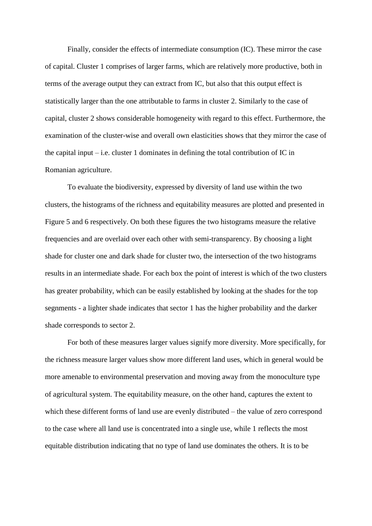Finally, consider the effects of intermediate consumption (IC). These mirror the case of capital. Cluster 1 comprises of larger farms, which are relatively more productive, both in terms of the average output they can extract from IC, but also that this output effect is statistically larger than the one attributable to farms in cluster 2. Similarly to the case of capital, cluster 2 shows considerable homogeneity with regard to this effect. Furthermore, the examination of the cluster-wise and overall own elasticities shows that they mirror the case of the capital input – i.e. cluster 1 dominates in defining the total contribution of IC in Romanian agriculture.

To evaluate the biodiversity, expressed by diversity of land use within the two clusters, the histograms of the richness and equitability measures are plotted and presented in Figure 5 and 6 respectively. On both these figures the two histograms measure the relative frequencies and are overlaid over each other with semi-transparency. By choosing a light shade for cluster one and dark shade for cluster two, the intersection of the two histograms results in an intermediate shade. For each box the point of interest is which of the two clusters has greater probability, which can be easily established by looking at the shades for the top segnments - a lighter shade indicates that sector 1 has the higher probability and the darker shade corresponds to sector 2.

For both of these measures larger values signify more diversity. More specifically, for the richness measure larger values show more different land uses, which in general would be more amenable to environmental preservation and moving away from the monoculture type of agricultural system. The equitability measure, on the other hand, captures the extent to which these different forms of land use are evenly distributed – the value of zero correspond to the case where all land use is concentrated into a single use, while 1 reflects the most equitable distribution indicating that no type of land use dominates the others. It is to be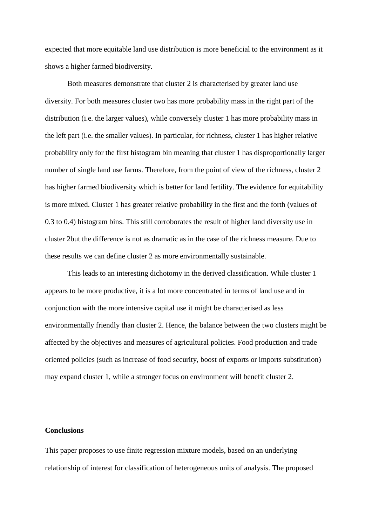expected that more equitable land use distribution is more beneficial to the environment as it shows a higher farmed biodiversity.

Both measures demonstrate that cluster 2 is characterised by greater land use diversity. For both measures cluster two has more probability mass in the right part of the distribution (i.e. the larger values), while conversely cluster 1 has more probability mass in the left part (i.e. the smaller values). In particular, for richness, cluster 1 has higher relative probability only for the first histogram bin meaning that cluster 1 has disproportionally larger number of single land use farms. Therefore, from the point of view of the richness, cluster 2 has higher farmed biodiversity which is better for land fertility. The evidence for equitability is more mixed. Cluster 1 has greater relative probability in the first and the forth (values of 0.3 to 0.4) histogram bins. This still corroborates the result of higher land diversity use in cluster 2but the difference is not as dramatic as in the case of the richness measure. Due to these results we can define cluster 2 as more environmentally sustainable.

This leads to an interesting dichotomy in the derived classification. While cluster 1 appears to be more productive, it is a lot more concentrated in terms of land use and in conjunction with the more intensive capital use it might be characterised as less environmentally friendly than cluster 2. Hence, the balance between the two clusters might be affected by the objectives and measures of agricultural policies. Food production and trade oriented policies (such as increase of food security, boost of exports or imports substitution) may expand cluster 1, while a stronger focus on environment will benefit cluster 2.

#### **Conclusions**

This paper proposes to use finite regression mixture models, based on an underlying relationship of interest for classification of heterogeneous units of analysis. The proposed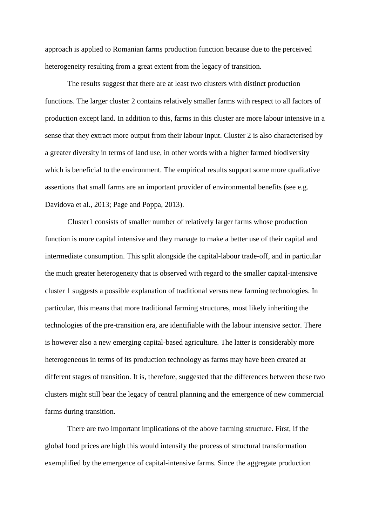approach is applied to Romanian farms production function because due to the perceived heterogeneity resulting from a great extent from the legacy of transition.

The results suggest that there are at least two clusters with distinct production functions. The larger cluster 2 contains relatively smaller farms with respect to all factors of production except land. In addition to this, farms in this cluster are more labour intensive in a sense that they extract more output from their labour input. Cluster 2 is also characterised by a greater diversity in terms of land use, in other words with a higher farmed biodiversity which is beneficial to the environment. The empirical results support some more qualitative assertions that small farms are an important provider of environmental benefits (see e.g. Davidova et al., 2013; Page and Poppa, 2013).

Cluster1 consists of smaller number of relatively larger farms whose production function is more capital intensive and they manage to make a better use of their capital and intermediate consumption. This split alongside the capital-labour trade-off, and in particular the much greater heterogeneity that is observed with regard to the smaller capital-intensive cluster 1 suggests a possible explanation of traditional versus new farming technologies. In particular, this means that more traditional farming structures, most likely inheriting the technologies of the pre-transition era, are identifiable with the labour intensive sector. There is however also a new emerging capital-based agriculture. The latter is considerably more heterogeneous in terms of its production technology as farms may have been created at different stages of transition. It is, therefore, suggested that the differences between these two clusters might still bear the legacy of central planning and the emergence of new commercial farms during transition.

There are two important implications of the above farming structure. First, if the global food prices are high this would intensify the process of structural transformation exemplified by the emergence of capital-intensive farms. Since the aggregate production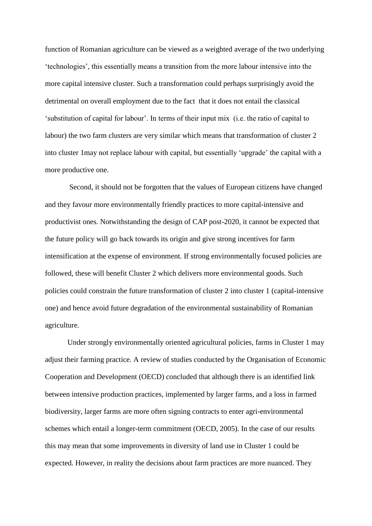function of Romanian agriculture can be viewed as a weighted average of the two underlying 'technologies', this essentially means a transition from the more labour intensive into the more capital intensive cluster. Such a transformation could perhaps surprisingly avoid the detrimental on overall employment due to the fact that it does not entail the classical 'substitution of capital for labour'. In terms of their input mix (i.e. the ratio of capital to labour) the two farm clusters are very similar which means that transformation of cluster 2 into cluster 1may not replace labour with capital, but essentially 'upgrade' the capital with a more productive one.

 Second, it should not be forgotten that the values of European citizens have changed and they favour more environmentally friendly practices to more capital-intensive and productivist ones. Notwithstanding the design of CAP post-2020, it cannot be expected that the future policy will go back towards its origin and give strong incentives for farm intensification at the expense of environment. If strong environmentally focused policies are followed, these will benefit Cluster 2 which delivers more environmental goods. Such policies could constrain the future transformation of cluster 2 into cluster 1 (capital-intensive one) and hence avoid future degradation of the environmental sustainability of Romanian agriculture.

Under strongly environmentally oriented agricultural policies, farms in Cluster 1 may adjust their farming practice. A review of studies conducted by the Organisation of Economic Cooperation and Development (OECD) concluded that although there is an identified link between intensive production practices, implemented by larger farms, and a loss in farmed biodiversity, larger farms are more often signing contracts to enter agri-environmental schemes which entail a longer-term commitment (OECD, 2005). In the case of our results this may mean that some improvements in diversity of land use in Cluster 1 could be expected. However, in reality the decisions about farm practices are more nuanced. They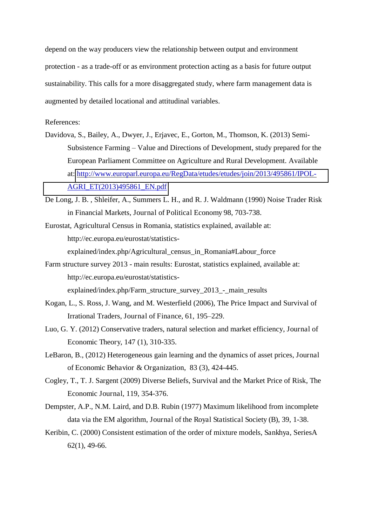depend on the way producers view the relationship between output and environment protection - as a trade-off or as environment protection acting as a basis for future output sustainability. This calls for a more disaggregated study, where farm management data is augmented by detailed locational and attitudinal variables.

References:

- Davidova, S., Bailey, A., Dwyer, J., Erjavec, E., Gorton, M., Thomson, K. (2013) Semi-Subsistence Farming – Value and Directions of Development, study prepared for the European Parliament Committee on Agriculture and Rural Development. Available at: [http://www.europarl.europa.eu/RegData/etudes/etudes/join/2013/495861/IPOL-](http://www.europarl.europa.eu/RegData/etudes/etudes/join/2013/495861/IPOL-AGRI_ET(2013)495861_EN.pdf)[AGRI\\_ET\(2013\)495861\\_EN.pdf](http://www.europarl.europa.eu/RegData/etudes/etudes/join/2013/495861/IPOL-AGRI_ET(2013)495861_EN.pdf)
- De Long, J. B. , Shleifer, A., Summers L. H., and R. J. Waldmann (1990) Noise Trader Risk in Financial Markets, Journal of Political Economy 98, 703-738.
- Eurostat, Agricultural Census in Romania, statistics explained, available at: http://ec.europa.eu/eurostat/statisticsexplained/index.php/Agricultural\_census\_in\_Romania#Labour\_force
- Farm structure survey 2013 main results: Eurostat, statistics explained, available at: http://ec.europa.eu/eurostat/statisticsexplained/index.php/Farm\_structure\_survey\_2013\_-\_main\_results
- Kogan, L., S. Ross, J. Wang, and M. Westerfield (2006), The Price Impact and Survival of Irrational Traders, Journal of Finance, 61, 195*–*229.
- Luo, G. Y. (2012) Conservative traders, natural selection and market efficiency, Journal of Economic Theory, 147 (1), 310-335.
- LeBaron, B., (2012) Heterogeneous gain learning and the dynamics of asset prices, Journal of Economic Behavior & Organization, 83 (3), 424-445.
- Cogley, T., T. J. Sargent (2009) Diverse Beliefs, Survival and the Market Price of Risk, The Economic Journal, 119, 354-376.
- Dempster, A.P., N.M. Laird, and D.B. Rubin (1977) Maximum likelihood from incomplete data via the EM algorithm, Journal of the Royal Statistical Society (B), 39, 1-38.
- Keribin, C. (2000) Consistent estimation of the order of mixture models, Sankhya, SeriesA 62(1), 49-66.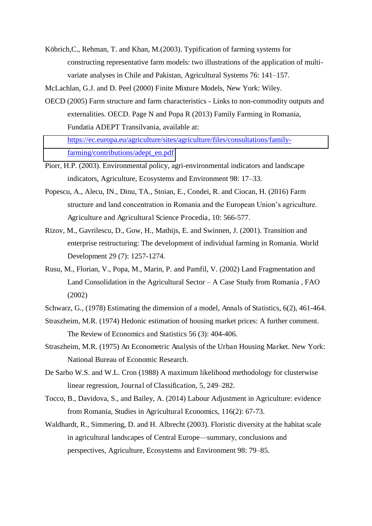Köbrich,C., Rehman, T. and Khan, M.(2003). Typification of farming systems for constructing representative farm models: two illustrations of the application of multivariate analyses in Chile and Pakistan, Agricultural Systems 76: 141–157.

McLachlan, G.J. and D. Peel (2000) Finite Mixture Models, New York: Wiley.

- OECD (2005) Farm structure and farm characteristics Links to non-commodity outputs and externalities. OECD. Page N and Popa R (2013) Family Farming in Romania, Fundatia ADEPT Transilvania, available at: [https://ec.europa.eu/agriculture/sites/agriculture/files/consultations/family](https://ec.europa.eu/agriculture/sites/agriculture/files/consultations/family-farming/contributions/adept_en.pdf)[farming/contributions/adept\\_en.pdf](https://ec.europa.eu/agriculture/sites/agriculture/files/consultations/family-farming/contributions/adept_en.pdf)
- Piorr, H.P. (2003). Environmental policy, agri-environmental indicators and landscape indicators, Agriculture, Ecosystems and Environment 98: 17–33.
- Popescu, A., Alecu, IN., Dinu, TA., Stoian, E., Condei, R. and Ciocan, H. (2016) Farm structure and land concentration in Romania and the European Union's agriculture. Agriculture and Agricultural Science Procedia, 10: 566-577.
- Rizov, M., Gavrilescu, D., Gow, H., Mathijs, E. and Swinnen, J. (2001). Transition and enterprise restructuring: The development of individual farming in Romania. World Development 29 (7): 1257-1274.
- Rusu, M., Florian, V., Popa, M., Marin, P. and Pamfil, V. (2002) Land Fragmentation and Land Consolidation in the Agricultural Sector – A Case Study from Romania , FAO (2002)
- Schwarz, G., (1978) Estimating the dimension of a model, Annals of Statistics, 6(2), 461-464.
- Straszheim, M.R. (1974) Hedonic estimation of housing market prices: A further comment. The Review of Economics and Statistics 56 (3): 404-406.
- Straszheim, M.R. (1975) An Econometric Analysis of the Urban Housing Market. New York: National Bureau of Economic Research.
- De Sarbo W.S. and W.L. Cron (1988) A maximum likelihood methodology for clusterwise linear regression, Journal of Classification, 5, 249–282.
- Tocco, B., Davidova, S., and Bailey, A. (2014) Labour Adjustment in Agriculture: evidence from Romania, Studies in Agricultural Economics, 116(2): 67-73.
- Waldhardt, R., Simmering, D. and H. Albrecht (2003). Floristic diversity at the habitat scale in agricultural landscapes of Central Europe—summary, conclusions and perspectives, Agriculture, Ecosystems and Environment 98: 79–85.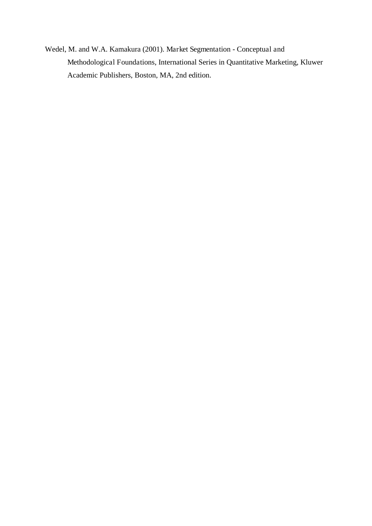Wedel, M. and W.A. Kamakura (2001). Market Segmentation - Conceptual and Methodological Foundations, International Series in Quantitative Marketing, Kluwer Academic Publishers, Boston, MA, 2nd edition.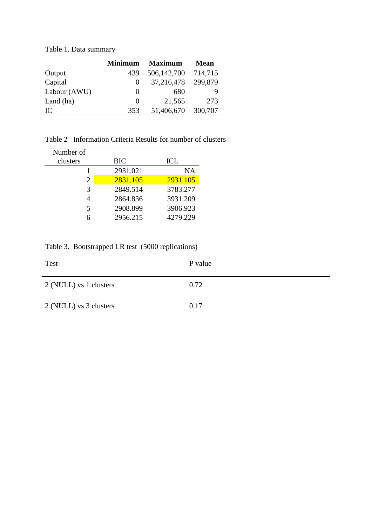|              | <b>Minimum</b> | <b>Maximum</b> | <b>Mean</b> |
|--------------|----------------|----------------|-------------|
| Output       | 439            | 506,142,700    | 714,715     |
| Capital      | $\theta$       | 37,216,478     | 299,879     |
| Labour (AWU) |                | 680            |             |
| Land (ha)    | $\theta$       | 21,565         | 273         |
| IC           | 353            | 51,406,670     | 300,707     |

Table 1. Data summary

Table 2 Information Criteria Results for number of clusters

| Number of                   |            |          |  |  |
|-----------------------------|------------|----------|--|--|
| clusters                    | <b>BIC</b> | ICL      |  |  |
|                             | 2931.021   | NA       |  |  |
| $\mathcal{D}_{\mathcal{L}}$ | 2831.105   | 2931.105 |  |  |
| 3                           | 2849.514   | 3783.277 |  |  |
|                             | 2864.836   | 3931.209 |  |  |
| 5                           | 2908.899   | 3906.923 |  |  |
|                             | 2956.215   | 4279.229 |  |  |

Table 3. Bootstrapped LR test (5000 replications)

| Test                   | P value |
|------------------------|---------|
| 2 (NULL) vs 1 clusters | 0.72    |
| 2 (NULL) vs 3 clusters | 0.17    |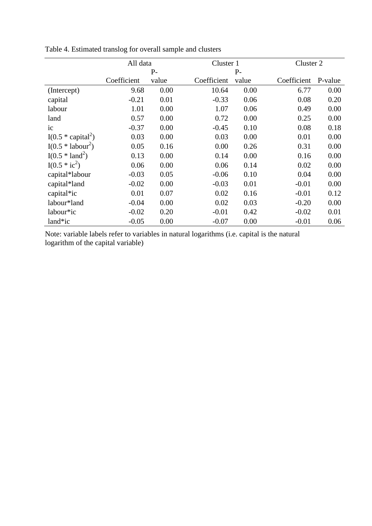|                      | All data    |              |             | Cluster 1 |             | Cluster 2 |  |
|----------------------|-------------|--------------|-------------|-----------|-------------|-----------|--|
|                      |             | $P-$<br>$P-$ |             |           |             |           |  |
|                      | Coefficient | value        | Coefficient | value     | Coefficient | P-value   |  |
| (Intercept)          | 9.68        | 0.00         | 10.64       | 0.00      | 6.77        | 0.00      |  |
| capital              | $-0.21$     | 0.01         | $-0.33$     | 0.06      | 0.08        | 0.20      |  |
| labour               | 1.01        | 0.00         | 1.07        | 0.06      | 0.49        | 0.00      |  |
| land                 | 0.57        | 0.00         | 0.72        | 0.00      | 0.25        | 0.00      |  |
| ic                   | $-0.37$     | 0.00         | $-0.45$     | 0.10      | 0.08        | 0.18      |  |
| $I(0.5 * capital^2)$ | 0.03        | 0.00         | 0.03        | 0.00      | 0.01        | 0.00      |  |
| $I(0.5 * labour2)$   | 0.05        | 0.16         | 0.00        | 0.26      | 0.31        | 0.00      |  |
| $I(0.5 * land^2)$    | 0.13        | 0.00         | 0.14        | 0.00      | 0.16        | 0.00      |  |
| $I(0.5 * ic2)$       | 0.06        | 0.00         | 0.06        | 0.14      | 0.02        | 0.00      |  |
| capital*labour       | $-0.03$     | 0.05         | $-0.06$     | 0.10      | 0.04        | 0.00      |  |
| capital*land         | $-0.02$     | 0.00         | $-0.03$     | 0.01      | $-0.01$     | 0.00      |  |
| capital*ic           | 0.01        | 0.07         | 0.02        | 0.16      | $-0.01$     | 0.12      |  |
| labour*land          | $-0.04$     | 0.00         | 0.02        | 0.03      | $-0.20$     | 0.00      |  |
| labour*ic            | $-0.02$     | 0.20         | $-0.01$     | 0.42      | $-0.02$     | 0.01      |  |
| land*ic              | $-0.05$     | 0.00         | $-0.07$     | 0.00      | $-0.01$     | 0.06      |  |

Table 4. Estimated translog for overall sample and clusters

Note: variable labels refer to variables in natural logarithms (i.e. capital is the natural logarithm of the capital variable)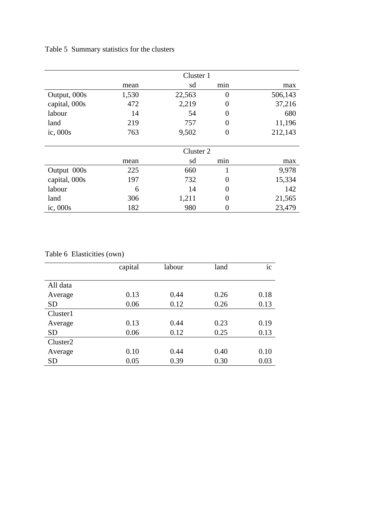Table 5 Summary statistics for the clusters

|               | Cluster 1 |        |     |         |
|---------------|-----------|--------|-----|---------|
|               | mean      | sd     | min | max     |
| Output, 000s  | 1,530     | 22,563 | 0   | 506,143 |
| capital, 000s | 472       | 2,219  | 0   | 37,216  |
| labour        | 14        | 54     | 0   | 680     |
| land          | 219       | 757    | 0   | 11,196  |
| ic, $000s$    | 763       | 9,502  | 0   | 212,143 |
|               |           |        |     |         |
|               | Cluster 2 |        |     |         |
|               | mean      | sd     | min | max     |
| Output 000s   | 225       | 660    | 1   | 9,978   |
| capital, 000s | 197       | 732    | 0   | 15,334  |
| labour        | 6         | 14     | 0   | 142     |
| land          | 306       | 1,211  | 0   | 21,565  |
| ic, 000s      | 182       | 980    | 0   | 23,479  |

### Table 6 Elasticities (own)

|                      | capital | labour | land | ic   |
|----------------------|---------|--------|------|------|
| All data             |         |        |      |      |
| Average              | 0.13    | 0.44   | 0.26 | 0.18 |
| <b>SD</b>            | 0.06    | 0.12   | 0.26 | 0.13 |
| Cluster1             |         |        |      |      |
| Average              | 0.13    | 0.44   | 0.23 | 0.19 |
| <b>SD</b>            | 0.06    | 0.12   | 0.25 | 0.13 |
| Cluster <sub>2</sub> |         |        |      |      |
| Average              | 0.10    | 0.44   | 0.40 | 0.10 |
| <b>SD</b>            | 0.05    | 0.39   | 0.30 | 0.03 |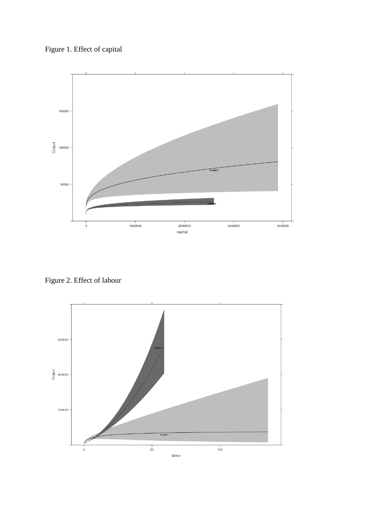



Figure 2. Effect of labour

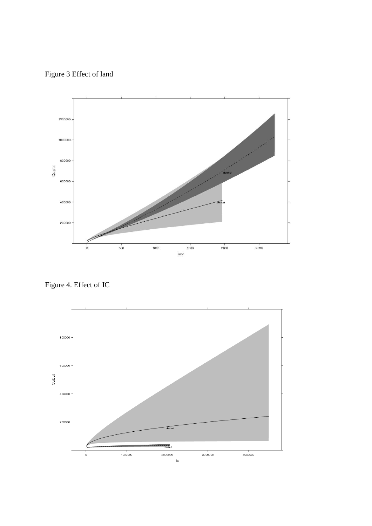Figure 3 Effect of land



Figure 4. Effect of IC

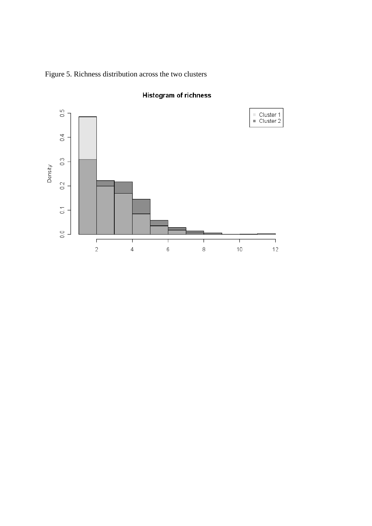Figure 5. Richness distribution across the two clusters



### **Histogram of richness**